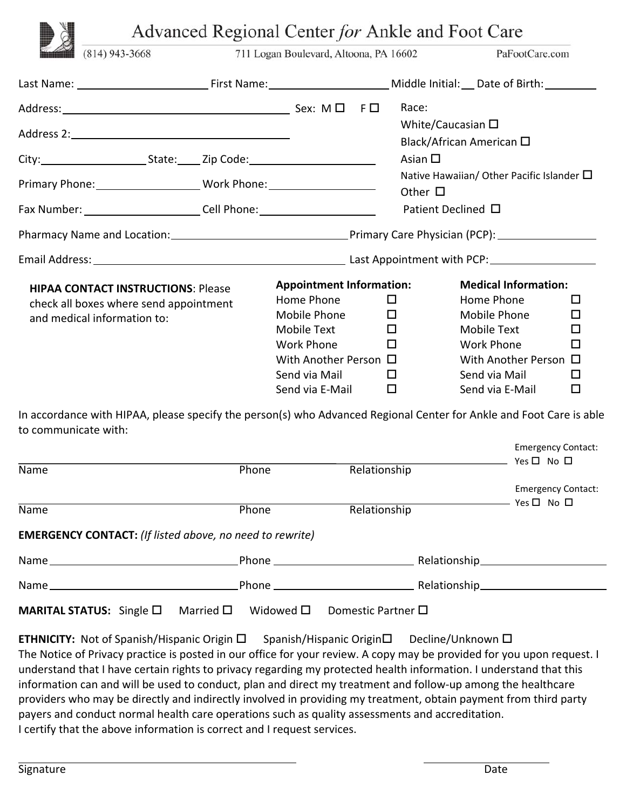|                                                                                  |                                                                                     | Advanced Regional Center for Ankle and Foot Care |                 |                                                               |   |
|----------------------------------------------------------------------------------|-------------------------------------------------------------------------------------|--------------------------------------------------|-----------------|---------------------------------------------------------------|---|
| $(814)$ 943-3668                                                                 |                                                                                     | 711 Logan Boulevard, Altoona, PA 16602           |                 | PaFootCare.com                                                |   |
|                                                                                  |                                                                                     |                                                  |                 |                                                               |   |
|                                                                                  |                                                                                     |                                                  | Race:           |                                                               |   |
|                                                                                  |                                                                                     |                                                  |                 | White/Caucasian $\square$<br>Black/African American $\square$ |   |
|                                                                                  |                                                                                     |                                                  | Asian $\square$ |                                                               |   |
| Primary Phone: __________________________Work Phone: ___________________________ |                                                                                     |                                                  | Other $\Box$    | Native Hawaiian/ Other Pacific Islander $\Box$                |   |
| Fax Number: ___________________________Cell Phone: _____________________________ |                                                                                     |                                                  |                 | Patient Declined □                                            |   |
|                                                                                  |                                                                                     |                                                  |                 |                                                               |   |
|                                                                                  |                                                                                     |                                                  |                 |                                                               |   |
|                                                                                  |                                                                                     | <b>Appointment Information:</b>                  |                 | <b>Medical Information:</b>                                   |   |
|                                                                                  | <b>HIPAA CONTACT INSTRUCTIONS: Please</b><br>check all boxes where send appointment | Home Phone                                       | 0               | Home Phone                                                    | □ |
| and medical information to:                                                      |                                                                                     | Mobile Phone                                     | $\Box$          | Mobile Phone                                                  | □ |
|                                                                                  |                                                                                     | Mobile Text                                      | $\Box$          | Mobile Text                                                   | □ |
|                                                                                  |                                                                                     | <b>Work Phone</b>                                | $\Box$          | <b>Work Phone</b>                                             | П |
|                                                                                  |                                                                                     | With Another Person $\Box$                       |                 | With Another Person □                                         |   |
|                                                                                  |                                                                                     | Send via Mail                                    | $\Box$          | Send via Mail                                                 | □ |
|                                                                                  |                                                                                     | Send via E-Mail                                  | □               | Send via E-Mail                                               | □ |

In accordance with HIPAA, please specify the person(s) who Advanced Regional Center for Ankle and Foot Care is able to communicate with:

| Name                                                            | Phone                               | Relationship               | Emergency Contact:<br>$Yes \Box No \Box$                                                                       |
|-----------------------------------------------------------------|-------------------------------------|----------------------------|----------------------------------------------------------------------------------------------------------------|
|                                                                 |                                     |                            | <b>Emergency Contact:</b>                                                                                      |
| Name                                                            | Phone                               | Relationship               | $\rightharpoonup$ Yes $\square$ No $\square$                                                                   |
| <b>EMERGENCY CONTACT:</b> (If listed above, no need to rewrite) |                                     |                            |                                                                                                                |
|                                                                 |                                     |                            | Phone example and a set of the Relationship and the contract of the set of the set of the set of the set of th |
|                                                                 |                                     |                            |                                                                                                                |
| <b>MARITAL STATUS:</b> Single $\Box$                            | Married $\square$<br>Widowed $\Box$ | Domestic Partner $\square$ |                                                                                                                |

**ETHNICITY:** Not of Spanish/Hispanic Origin □ Spanish/Hispanic Origin□ Decline/Unknown □ The Notice of Privacy practice is posted in our office for your review. A copy may be provided for you upon request. I understand that I have certain rights to privacy regarding my protected health information. I understand that this information can and will be used to conduct, plan and direct my treatment and follow‐up among the healthcare providers who may be directly and indirectly involved in providing my treatment, obtain payment from third party payers and conduct normal health care operations such as quality assessments and accreditation. I certify that the above information is correct and I request services.

Emergency Contact: